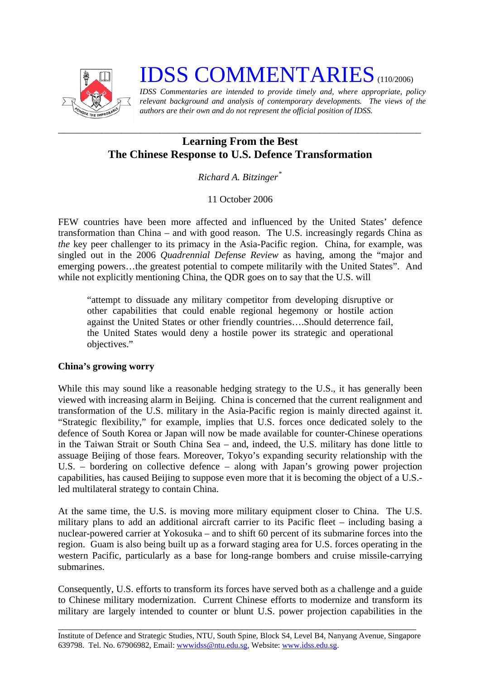

# **IDSS COMMENTARIES** (110/2006)

*IDSS Commentaries are intended to provide timely and, where appropriate, policy relevant background and analysis of contemporary developments. The views of the authors are their own and do not represent the official position of IDSS.* 

## **Learning From the Best The Chinese Response to U.S. Defence Transformation**

*\_\_\_\_\_\_\_\_\_\_\_\_\_\_\_\_\_\_\_\_\_\_\_\_\_\_\_\_\_\_\_\_\_\_\_\_\_\_\_\_\_\_\_\_\_\_\_\_\_\_\_\_\_\_\_\_\_\_\_\_\_\_\_\_\_\_\_\_\_\_\_\_\_\_\_* 

*Richard A. Bitzinger[\\*](#page-2-0)*

11 October 2006

FEW countries have been more affected and influenced by the United States' defence transformation than China – and with good reason. The U.S. increasingly regards China as *the* key peer challenger to its primacy in the Asia-Pacific region. China, for example, was singled out in the 2006 *Quadrennial Defense Review* as having, among the "major and emerging powers…the greatest potential to compete militarily with the United States". And while not explicitly mentioning China, the QDR goes on to say that the U.S. will

"attempt to dissuade any military competitor from developing disruptive or other capabilities that could enable regional hegemony or hostile action against the United States or other friendly countries….Should deterrence fail, the United States would deny a hostile power its strategic and operational objectives."

### **China's growing worry**

While this may sound like a reasonable hedging strategy to the U.S., it has generally been viewed with increasing alarm in Beijing. China is concerned that the current realignment and transformation of the U.S. military in the Asia-Pacific region is mainly directed against it. "Strategic flexibility," for example, implies that U.S. forces once dedicated solely to the defence of South Korea or Japan will now be made available for counter-Chinese operations in the Taiwan Strait or South China Sea – and, indeed, the U.S. military has done little to assuage Beijing of those fears. Moreover, Tokyo's expanding security relationship with the U.S. – bordering on collective defence – along with Japan's growing power projection capabilities, has caused Beijing to suppose even more that it is becoming the object of a U.S. led multilateral strategy to contain China.

At the same time, the U.S. is moving more military equipment closer to China. The U.S. military plans to add an additional aircraft carrier to its Pacific fleet – including basing a nuclear-powered carrier at Yokosuka – and to shift 60 percent of its submarine forces into the region. Guam is also being built up as a forward staging area for U.S. forces operating in the western Pacific, particularly as a base for long-range bombers and cruise missile-carrying submarines.

Consequently, U.S. efforts to transform its forces have served both as a challenge and a guide to Chinese military modernization. Current Chinese efforts to modernize and transform its military are largely intended to counter or blunt U.S. power projection capabilities in the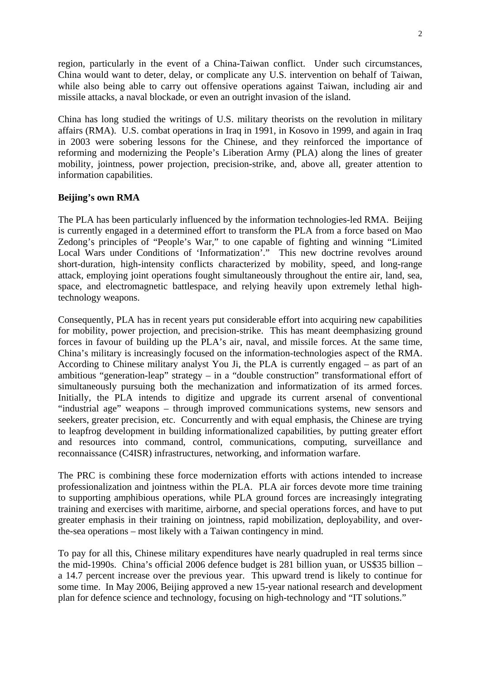region, particularly in the event of a China-Taiwan conflict. Under such circumstances, China would want to deter, delay, or complicate any U.S. intervention on behalf of Taiwan, while also being able to carry out offensive operations against Taiwan, including air and missile attacks, a naval blockade, or even an outright invasion of the island.

China has long studied the writings of U.S. military theorists on the revolution in military affairs (RMA). U.S. combat operations in Iraq in 1991, in Kosovo in 1999, and again in Iraq in 2003 were sobering lessons for the Chinese, and they reinforced the importance of reforming and modernizing the People's Liberation Army (PLA) along the lines of greater mobility, jointness, power projection, precision-strike, and, above all, greater attention to information capabilities.

#### **Beijing's own RMA**

The PLA has been particularly influenced by the information technologies-led RMA. Beijing is currently engaged in a determined effort to transform the PLA from a force based on Mao Zedong's principles of "People's War," to one capable of fighting and winning "Limited Local Wars under Conditions of 'Informatization'." This new doctrine revolves around short-duration, high-intensity conflicts characterized by mobility, speed, and long-range attack, employing joint operations fought simultaneously throughout the entire air, land, sea, space, and electromagnetic battlespace, and relying heavily upon extremely lethal hightechnology weapons.

Consequently, PLA has in recent years put considerable effort into acquiring new capabilities for mobility, power projection, and precision-strike. This has meant deemphasizing ground forces in favour of building up the PLA's air, naval, and missile forces. At the same time, China's military is increasingly focused on the information-technologies aspect of the RMA. According to Chinese military analyst You Ji, the PLA is currently engaged – as part of an ambitious "generation-leap" strategy – in a "double construction" transformational effort of simultaneously pursuing both the mechanization and informatization of its armed forces. Initially, the PLA intends to digitize and upgrade its current arsenal of conventional "industrial age" weapons – through improved communications systems, new sensors and seekers, greater precision, etc. Concurrently and with equal emphasis, the Chinese are trying to leapfrog development in building informationalized capabilities, by putting greater effort and resources into command, control, communications, computing, surveillance and reconnaissance (C4ISR) infrastructures, networking, and information warfare.

The PRC is combining these force modernization efforts with actions intended to increase professionalization and jointness within the PLA. PLA air forces devote more time training to supporting amphibious operations, while PLA ground forces are increasingly integrating training and exercises with maritime, airborne, and special operations forces, and have to put greater emphasis in their training on jointness, rapid mobilization, deployability, and overthe-sea operations – most likely with a Taiwan contingency in mind.

To pay for all this, Chinese military expenditures have nearly quadrupled in real terms since the mid-1990s. China's official 2006 defence budget is 281 billion yuan, or US\$35 billion – a 14.7 percent increase over the previous year. This upward trend is likely to continue for some time. In May 2006, Beijing approved a new 15-year national research and development plan for defence science and technology, focusing on high-technology and "IT solutions."